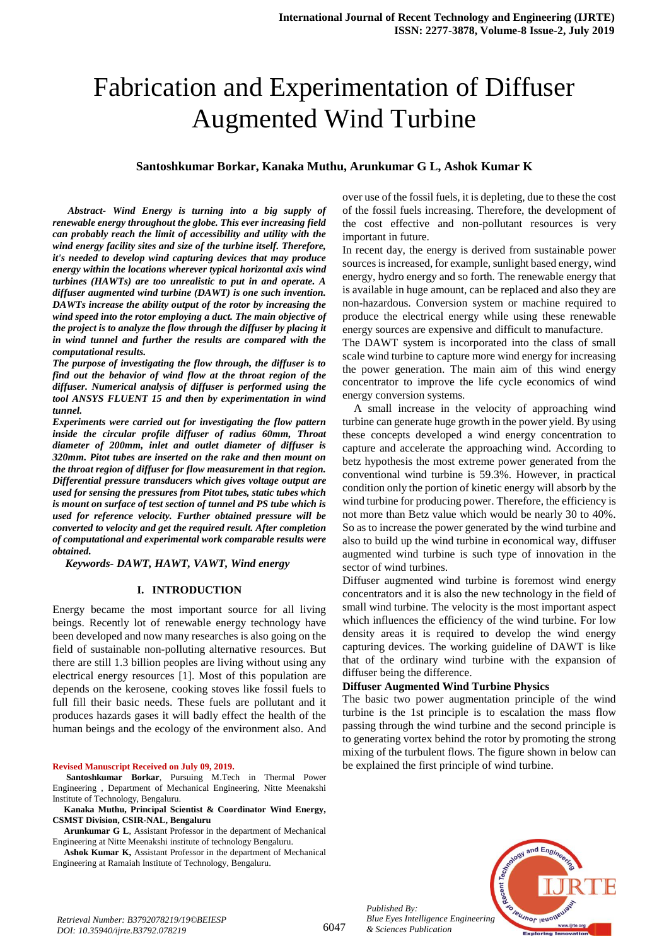# Fabrication and Experimentation of Diffuser Augmented Wind Turbine

# **Santoshkumar Borkar, Kanaka Muthu, Arunkumar G L, Ashok Kumar K**

*Abstract- Wind Energy is turning into a big supply of renewable energy throughout the globe. This ever increasing field can probably reach the limit of accessibility and utility with the wind energy facility sites and size of the turbine itself. Therefore, it's needed to develop wind capturing devices that may produce energy within the locations wherever typical horizontal axis wind turbines (HAWTs) are too unrealistic to put in and operate. A diffuser augmented wind turbine (DAWT) is one such invention. DAWTs increase the ability output of the rotor by increasing the wind speed into the rotor employing a duct. The main objective of the project is to analyze the flow through the diffuser by placing it in wind tunnel and further the results are compared with the computational results.*

*The purpose of investigating the flow through, the diffuser is to find out the behavior of wind flow at the throat region of the diffuser. Numerical analysis of diffuser is performed using the tool ANSYS FLUENT 15 and then by experimentation in wind tunnel.*

*Experiments were carried out for investigating the flow pattern inside the circular profile diffuser of radius 60mm, Throat diameter of 200mm, inlet and outlet diameter of diffuser is 320mm. Pitot tubes are inserted on the rake and then mount on the throat region of diffuser for flow measurement in that region. Differential pressure transducers which gives voltage output are used for sensing the pressures from Pitot tubes, static tubes which is mount on surface of test section of tunnel and PS tube which is used for reference velocity. Further obtained pressure will be converted to velocity and get the required result. After completion of computational and experimental work comparable results were obtained.*

 *Keywords- DAWT, HAWT, VAWT, Wind energy*

## **I. INTRODUCTION**

Energy became the most important source for all living beings. Recently lot of renewable energy technology have been developed and now many researches is also going on the field of sustainable non-polluting alternative resources. But there are still 1.3 billion peoples are living without using any electrical energy resources [1]. Most of this population are depends on the kerosene, cooking stoves like fossil fuels to full fill their basic needs. These fuels are pollutant and it produces hazards gases it will badly effect the health of the human beings and the ecology of the environment also. And

#### **Revised Manuscript Received on July 09, 2019.**

**Santoshkumar Borkar**, Pursuing M.Tech in Thermal Power Engineering , Department of Mechanical Engineering, Nitte Meenakshi Institute of Technology, Bengaluru.

**Kanaka Muthu, Principal Scientist & Coordinator Wind Energy, CSMST Division, CSIR-NAL, Bengaluru** 

**Arunkumar G L**, Assistant Professor in the department of Mechanical Engineering at Nitte Meenakshi institute of technology Bengaluru.

**Ashok Kumar K,** Assistant Professor in the department of Mechanical Engineering at Ramaiah Institute of Technology, Bengaluru.

over use of the fossil fuels, it is depleting, due to these the cost of the fossil fuels increasing. Therefore, the development of the cost effective and non-pollutant resources is very important in future.

In recent day, the energy is derived from sustainable power sources is increased, for example, sunlight based energy, wind energy, hydro energy and so forth. The renewable energy that is available in huge amount, can be replaced and also they are non-hazardous. Conversion system or machine required to produce the electrical energy while using these renewable energy sources are expensive and difficult to manufacture.

The DAWT system is incorporated into the class of small scale wind turbine to capture more wind energy for increasing the power generation. The main aim of this wind energy concentrator to improve the life cycle economics of wind energy conversion systems.

A small increase in the velocity of approaching wind turbine can generate huge growth in the power yield. By using these concepts developed a wind energy concentration to capture and accelerate the approaching wind. According to betz hypothesis the most extreme power generated from the conventional wind turbine is 59.3%. However, in practical condition only the portion of kinetic energy will absorb by the wind turbine for producing power. Therefore, the efficiency is not more than Betz value which would be nearly 30 to 40%. So as to increase the power generated by the wind turbine and also to build up the wind turbine in economical way, diffuser augmented wind turbine is such type of innovation in the sector of wind turbines.

Diffuser augmented wind turbine is foremost wind energy concentrators and it is also the new technology in the field of small wind turbine. The velocity is the most important aspect which influences the efficiency of the wind turbine. For low density areas it is required to develop the wind energy capturing devices. The working guideline of DAWT is like that of the ordinary wind turbine with the expansion of diffuser being the difference.

#### **Diffuser Augmented Wind Turbine Physics**

The basic two power augmentation principle of the wind turbine is the 1st principle is to escalation the mass flow passing through the wind turbine and the second principle is to generating vortex behind the rotor by promoting the strong mixing of the turbulent flows. The figure shown in below can be explained the first principle of wind turbine.



*Published By:*

*& Sciences Publication*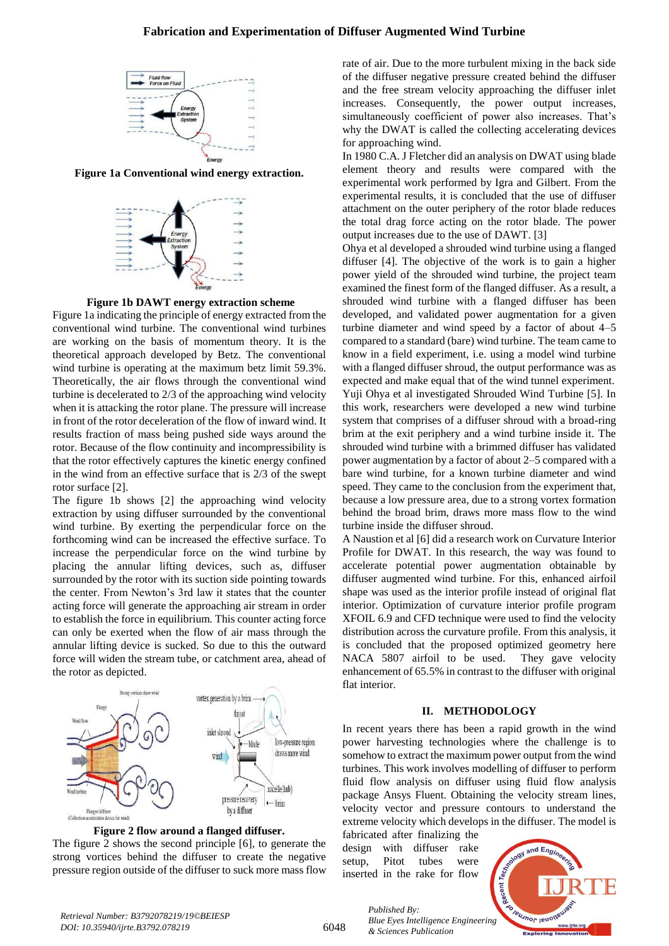# **Fabrication and Experimentation of Diffuser Augmented Wind Turbine**



**Figure 1a Conventional wind energy extraction.**





Figure 1a indicating the principle of energy extracted from the conventional wind turbine. The conventional wind turbines are working on the basis of momentum theory. It is the theoretical approach developed by Betz. The conventional wind turbine is operating at the maximum betz limit 59.3%. Theoretically, the air flows through the conventional wind turbine is decelerated to 2/3 of the approaching wind velocity when it is attacking the rotor plane. The pressure will increase in front of the rotor deceleration of the flow of inward wind. It results fraction of mass being pushed side ways around the rotor. Because of the flow continuity and incompressibility is that the rotor effectively captures the kinetic energy confined in the wind from an effective surface that is 2/3 of the swept rotor surface [2].

The figure 1b shows [2] the approaching wind velocity extraction by using diffuser surrounded by the conventional wind turbine. By exerting the perpendicular force on the forthcoming wind can be increased the effective surface. To increase the perpendicular force on the wind turbine by placing the annular lifting devices, such as, diffuser surrounded by the rotor with its suction side pointing towards the center. From Newton's 3rd law it states that the counter acting force will generate the approaching air stream in order to establish the force in equilibrium. This counter acting force can only be exerted when the flow of air mass through the annular lifting device is sucked. So due to this the outward force will widen the stream tube, or catchment area, ahead of the rotor as depicted.



**Figure 2 flow around a flanged diffuser.**

The figure 2 shows the second principle [6], to generate the strong vortices behind the diffuser to create the negative pressure region outside of the diffuser to suck more mass flow rate of air. Due to the more turbulent mixing in the back side of the diffuser negative pressure created behind the diffuser and the free stream velocity approaching the diffuser inlet increases. Consequently, the power output increases, simultaneously coefficient of power also increases. That's why the DWAT is called the collecting accelerating devices for approaching wind.

In 1980 C.A. J Fletcher did an analysis on DWAT using blade element theory and results were compared with the experimental work performed by Igra and Gilbert. From the experimental results, it is concluded that the use of diffuser attachment on the outer periphery of the rotor blade reduces the total drag force acting on the rotor blade. The power output increases due to the use of DAWT. [3]

Ohya et al developed a shrouded wind turbine using a flanged diffuser [4]. The objective of the work is to gain a higher power yield of the shrouded wind turbine, the project team examined the finest form of the flanged diffuser. As a result, a shrouded wind turbine with a flanged diffuser has been developed, and validated power augmentation for a given turbine diameter and wind speed by a factor of about 4–5 compared to a standard (bare) wind turbine. The team came to know in a field experiment, i.e. using a model wind turbine with a flanged diffuser shroud, the output performance was as expected and make equal that of the wind tunnel experiment. Yuji Ohya et al investigated Shrouded Wind Turbine [5]. In this work, researchers were developed a new wind turbine system that comprises of a diffuser shroud with a broad-ring brim at the exit periphery and a wind turbine inside it. The shrouded wind turbine with a brimmed diffuser has validated power augmentation by a factor of about 2–5 compared with a bare wind turbine, for a known turbine diameter and wind speed. They came to the conclusion from the experiment that, because a low pressure area, due to a strong vortex formation behind the broad brim, draws more mass flow to the wind turbine inside the diffuser shroud.

A Naustion et al [6] did a research work on Curvature Interior Profile for DWAT. In this research, the way was found to accelerate potential power augmentation obtainable by diffuser augmented wind turbine. For this, enhanced airfoil shape was used as the interior profile instead of original flat interior. Optimization of curvature interior profile program XFOIL 6.9 and CFD technique were used to find the velocity distribution across the curvature profile. From this analysis, it is concluded that the proposed optimized geometry here NACA 5807 airfoil to be used. They gave velocity enhancement of 65.5% in contrast to the diffuser with original flat interior.

#### **II. METHODOLOGY**

In recent years there has been a rapid growth in the wind power harvesting technologies where the challenge is to somehow to extract the maximum power output from the wind turbines. This work involves modelling of diffuser to perform fluid flow analysis on diffuser using fluid flow analysis package Ansys Fluent. Obtaining the velocity stream lines, velocity vector and pressure contours to understand the extreme velocity which develops in the diffuser. The model is

fabricated after finalizing the design with diffuser rake setup, Pitot tubes were inserted in the rake for flow



6048

*Published By: Blue Eyes Intelligence Engineering & Sciences Publication*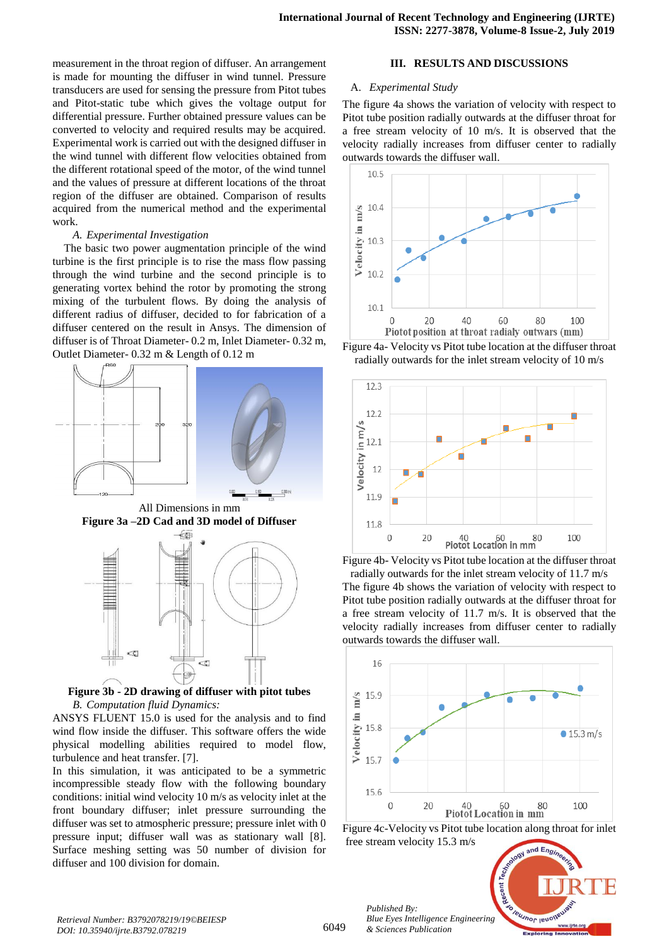measurement in the throat region of diffuser. An arrangement is made for mounting the diffuser in wind tunnel. Pressure transducers are used for sensing the pressure from Pitot tubes and Pitot-static tube which gives the voltage output for differential pressure. Further obtained pressure values can be converted to velocity and required results may be acquired. Experimental work is carried out with the designed diffuser in the wind tunnel with different flow velocities obtained from the different rotational speed of the motor, of the wind tunnel and the values of pressure at different locations of the throat region of the diffuser are obtained. Comparison of results acquired from the numerical method and the experimental work.

#### *A. Experimental Investigation*

The basic two power augmentation principle of the wind turbine is the first principle is to rise the mass flow passing through the wind turbine and the second principle is to generating vortex behind the rotor by promoting the strong mixing of the turbulent flows. By doing the analysis of different radius of diffuser, decided to for fabrication of a diffuser centered on the result in Ansys. The dimension of diffuser is of Throat Diameter- 0.2 m, Inlet Diameter- 0.32 m, Outlet Diameter- 0.32 m & Length of 0.12 m





**Figure 3b - 2D drawing of diffuser with pitot tubes**  *B. Computation fluid Dynamics:*

ANSYS FLUENT 15.0 is used for the analysis and to find wind flow inside the diffuser. This software offers the wide physical modelling abilities required to model flow, turbulence and heat transfer. [7].

In this simulation, it was anticipated to be a symmetric incompressible steady flow with the following boundary conditions: initial wind velocity 10 m/s as velocity inlet at the front boundary diffuser; inlet pressure surrounding the diffuser was set to atmospheric pressure; pressure inlet with 0 pressure input; diffuser wall was as stationary wall [8]. Surface meshing setting was 50 number of division for diffuser and 100 division for domain.

# **III. RESULTS AND DISCUSSIONS**

#### A. *Experimental Study*

The figure 4a shows the variation of velocity with respect to Pitot tube position radially outwards at the diffuser throat for a free stream velocity of 10 m/s. It is observed that the velocity radially increases from diffuser center to radially outwards towards the diffuser wall.



Figure 4a- Velocity vs Pitot tube location at the diffuser throat radially outwards for the inlet stream velocity of 10 m/s





velocity radially increases from diffuser center to radially



Figure 4c-Velocity vs Pitot tube location along throat for inlet free stream velocity 15.3 m/s $ndE<sub>n</sub>$ 

Recent

Teumor leur

*Published By: Blue Eyes Intelligence Engineering & Sciences Publication* 



6049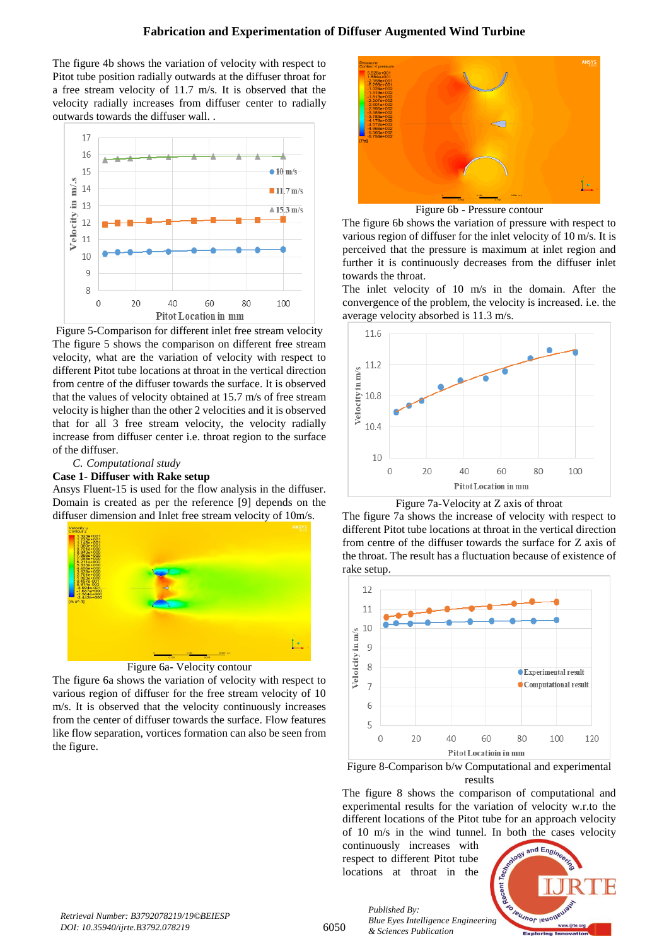The figure 4b shows the variation of velocity with respect to Pitot tube position radially outwards at the diffuser throat for a free stream velocity of 11.7 m/s. It is observed that the velocity radially increases from diffuser center to radially outwards towards the diffuser wall. .



Figure 5-Comparison for different inlet free stream velocity The figure 5 shows the comparison on different free stream velocity, what are the variation of velocity with respect to different Pitot tube locations at throat in the vertical direction from centre of the diffuser towards the surface. It is observed that the values of velocity obtained at 15.7 m/s of free stream velocity is higher than the other 2 velocities and it is observed that for all 3 free stream velocity, the velocity radially increase from diffuser center i.e. throat region to the surface of the diffuser.

# *C. Computational study*

# **Case 1- Diffuser with Rake setup**

Ansys Fluent-15 is used for the flow analysis in the diffuser. Domain is created as per the reference [9] depends on the diffuser dimension and Inlet free stream velocity of 10m/s.



Figure 6a- Velocity contour

The figure 6a shows the variation of velocity with respect to various region of diffuser for the free stream velocity of 10 m/s. It is observed that the velocity continuously increases from the center of diffuser towards the surface. Flow features like flow separation, vortices formation can also be seen from the figure.



The figure 6b shows the variation of pressure with respect to various region of diffuser for the inlet velocity of 10 m/s. It is perceived that the pressure is maximum at inlet region and further it is continuously decreases from the diffuser inlet towards the throat.

The inlet velocity of 10 m/s in the domain. After the convergence of the problem, the velocity is increased. i.e. the average velocity absorbed is 11.3 m/s.





The figure 7a shows the increase of velocity with respect to different Pitot tube locations at throat in the vertical direction from centre of the diffuser towards the surface for Z axis of the throat. The result has a fluctuation because of existence of rake setup.



Figure 8-Comparison b/w Computational and experimental results

The figure 8 shows the comparison of computational and experimental results for the variation of velocity w.r.to the different locations of the Pitot tube for an approach velocity of 10 m/s in the wind tunnel. In both the cases velocity

continuously increases with respect to different Pitot tube locations at throat in the



6050

*Published By: Blue Eyes Intelligence Engineering & Sciences Publication*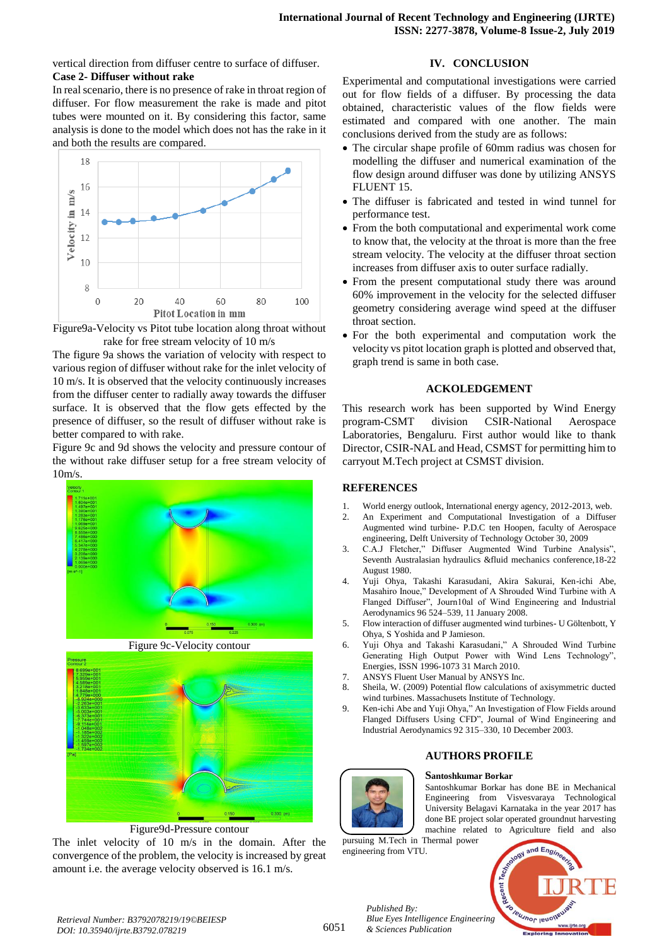vertical direction from diffuser centre to surface of diffuser. **Case 2- Diffuser without rake**

In real scenario, there is no presence of rake in throat region of diffuser. For flow measurement the rake is made and pitot tubes were mounted on it. By considering this factor, same analysis is done to the model which does not has the rake in it and both the results are compared.





The figure 9a shows the variation of velocity with respect to various region of diffuser without rake for the inlet velocity of 10 m/s. It is observed that the velocity continuously increases from the diffuser center to radially away towards the diffuser surface. It is observed that the flow gets effected by the presence of diffuser, so the result of diffuser without rake is better compared to with rake.

Figure 9c and 9d shows the velocity and pressure contour of the without rake diffuser setup for a free stream velocity of 10m/s.



Figure 9c-Velocity contour



Figure9d-Pressure contour

The inlet velocity of 10 m/s in the domain. After the convergence of the problem, the velocity is increased by great amount i.e. the average velocity observed is 16.1 m/s.

# **IV. CONCLUSION**

Experimental and computational investigations were carried out for flow fields of a diffuser. By processing the data obtained, characteristic values of the flow fields were estimated and compared with one another. The main conclusions derived from the study are as follows:

- The circular shape profile of 60mm radius was chosen for modelling the diffuser and numerical examination of the flow design around diffuser was done by utilizing ANSYS FLUENT 15.
- The diffuser is fabricated and tested in wind tunnel for performance test.
- From the both computational and experimental work come to know that, the velocity at the throat is more than the free stream velocity. The velocity at the diffuser throat section increases from diffuser axis to outer surface radially.
- From the present computational study there was around 60% improvement in the velocity for the selected diffuser geometry considering average wind speed at the diffuser throat section.
- For the both experimental and computation work the velocity vs pitot location graph is plotted and observed that, graph trend is same in both case.

# **ACKOLEDGEMENT**

This research work has been supported by Wind Energy program-CSMT division CSIR-National Aerospace Laboratories, Bengaluru. First author would like to thank Director, CSIR-NAL and Head, CSMST for permitting him to carryout M.Tech project at CSMST division.

# **REFERENCES**

- 1. World energy outlook, International energy agency, 2012-2013, web.
- 2. An Experiment and Computational Investigation of a Diffuser Augmented wind turbine- P.D.C ten Hoopen, faculty of Aerospace engineering, Delft University of Technology October 30, 2009
- 3. C.A.J Fletcher," Diffuser Augmented Wind Turbine Analysis", Seventh Australasian hydraulics &fluid mechanics conference,18-22 August 1980.
- 4. Yuji Ohya, Takashi Karasudani, Akira Sakurai, Ken-ichi Abe, Masahiro Inoue," Development of A Shrouded Wind Turbine with A Flanged Diffuser", Journ10al of Wind Engineering and Industrial Aerodynamics 96 524–539, 11 January 2008.
- 5. Flow interaction of diffuser augmented wind turbines- U Göltenbott, Y Ohya, S Yoshida and P Jamieson.
- 6. Yuji Ohya and Takashi Karasudani," A Shrouded Wind Turbine Generating High Output Power with Wind Lens Technology", Energies, ISSN 1996-1073 31 March 2010.
- 7. ANSYS Fluent User Manual by ANSYS Inc.
- 8. Sheila, W. (2009) Potential flow calculations of axisymmetric ducted wind turbines. Massachusets Institute of Technology.
- 9. Ken-ichi Abe and Yuji Ohya," An Investigation of Flow Fields around Flanged Diffusers Using CFD", Journal of Wind Engineering and Industrial Aerodynamics 92 315–330, 10 December 2003.

# **AUTHORS PROFILE**

## **Santoshkumar Borkar**

Santoshkumar Borkar has done BE in Mechanical Engineering from Visvesvaraya Technological University Belagavi Karnataka in the year 2017 has done BE project solar operated groundnut harvesting machine related to Agriculture field and also

pursuing M.Tech in Thermal power engineering from VTU.

*& Sciences Publication* 

*Published By:*



*Retrieval Number: B3792078219/19©BEIESP DOI: 10.35940/ijrte.B3792.078219*